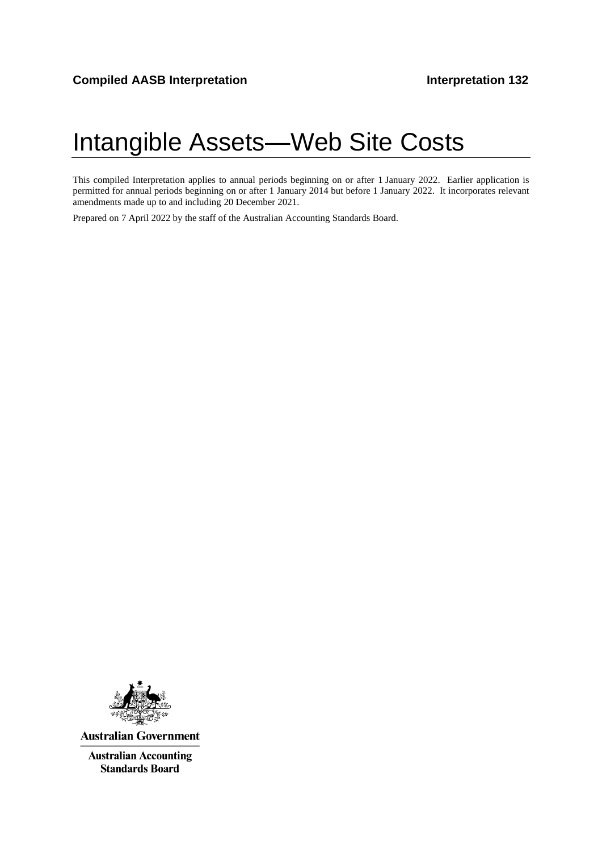# Intangible Assets—Web Site Costs

This compiled Interpretation applies to annual periods beginning on or after 1 January 2022. Earlier application is permitted for annual periods beginning on or after 1 January 2014 but before 1 January 2022. It incorporates relevant amendments made up to and including 20 December 2021.

Prepared on 7 April 2022 by the staff of the Australian Accounting Standards Board.



**Australian Government** 

**Australian Accounting Standards Board**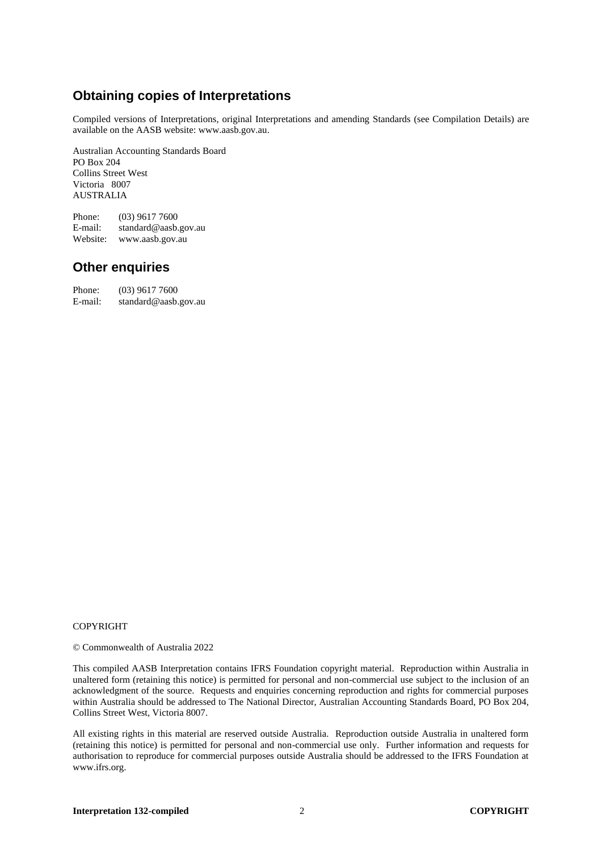# **Obtaining copies of Interpretations**

Compiled versions of Interpretations, original Interpretations and amending Standards (see Compilation Details) are available on the AASB website: www.aasb.gov.au.

Australian Accounting Standards Board PO Box 204 Collins Street West Victoria 8007 AUSTRALIA

Phone:  $(03)$  9617 7600<br>E-mail: standard@aasb. standard@aasb.gov.au Website: www.aasb.gov.au

## **Other enquiries**

| Phone:  | $(03)$ 9617 7600     |
|---------|----------------------|
| E-mail: | standard@aasb.gov.au |

#### COPYRIGHT

© Commonwealth of Australia 2022

This compiled AASB Interpretation contains IFRS Foundation copyright material. Reproduction within Australia in unaltered form (retaining this notice) is permitted for personal and non-commercial use subject to the inclusion of an acknowledgment of the source. Requests and enquiries concerning reproduction and rights for commercial purposes within Australia should be addressed to The National Director, Australian Accounting Standards Board, PO Box 204, Collins Street West, Victoria 8007.

All existing rights in this material are reserved outside Australia. Reproduction outside Australia in unaltered form (retaining this notice) is permitted for personal and non-commercial use only. Further information and requests for authorisation to reproduce for commercial purposes outside Australia should be addressed to the IFRS Foundation at www.ifrs.org.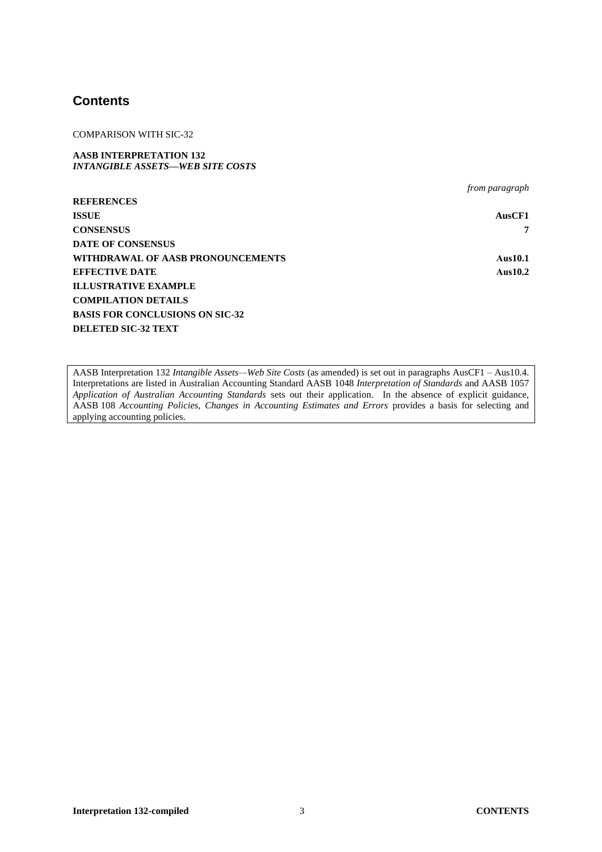## **Contents**

COMPARISON WITH SIC-32

**AASB INTERPRETATION 132** *INTANGIBLE ASSETS—WEB SITE COSTS*

*from paragraph* **REFERENCES ISSUE AusCF1 CONSENSUS 7 DATE OF CONSENSUS WITHDRAWAL OF AASB PRONOUNCEMENTS Aus10.1 EFFECTIVE DATE Aus10.2 ILLUSTRATIVE EXAMPLE COMPILATION DETAILS BASIS FOR CONCLUSIONS ON SIC-32 DELETED SIC-32 TEXT**

AASB Interpretation 132 *Intangible Assets—Web Site Costs* (as amended) is set out in paragraphs AusCF1 – Aus10.4. Interpretations are listed in Australian Accounting Standard AASB 1048 *Interpretation of Standards* and AASB 1057 *Application of Australian Accounting Standards* sets out their application. In the absence of explicit guidance, AASB 108 *Accounting Policies, Changes in Accounting Estimates and Errors* provides a basis for selecting and applying accounting policies.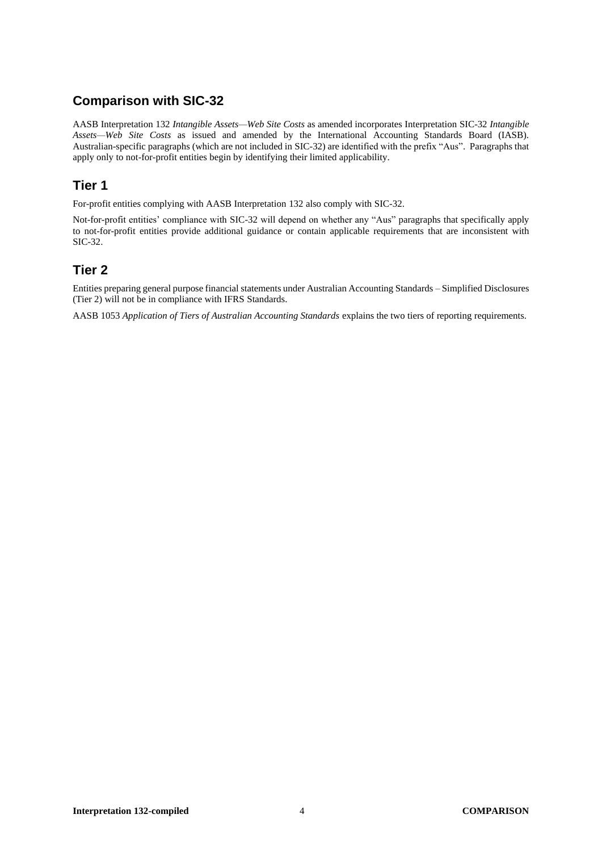# **Comparison with SIC-32**

AASB Interpretation 132 *Intangible Assets—Web Site Costs* as amended incorporates Interpretation SIC-32 *Intangible Assets—Web Site Costs* as issued and amended by the International Accounting Standards Board (IASB). Australian-specific paragraphs (which are not included in SIC-32) are identified with the prefix "Aus". Paragraphs that apply only to not-for-profit entities begin by identifying their limited applicability.

# **Tier 1**

For-profit entities complying with AASB Interpretation 132 also comply with SIC-32.

Not-for-profit entities' compliance with SIC-32 will depend on whether any "Aus" paragraphs that specifically apply to not-for-profit entities provide additional guidance or contain applicable requirements that are inconsistent with SIC-32.

# **Tier 2**

Entities preparing general purpose financial statements under Australian Accounting Standards – Simplified Disclosures (Tier 2) will not be in compliance with IFRS Standards.

AASB 1053 *Application of Tiers of Australian Accounting Standards* explains the two tiers of reporting requirements.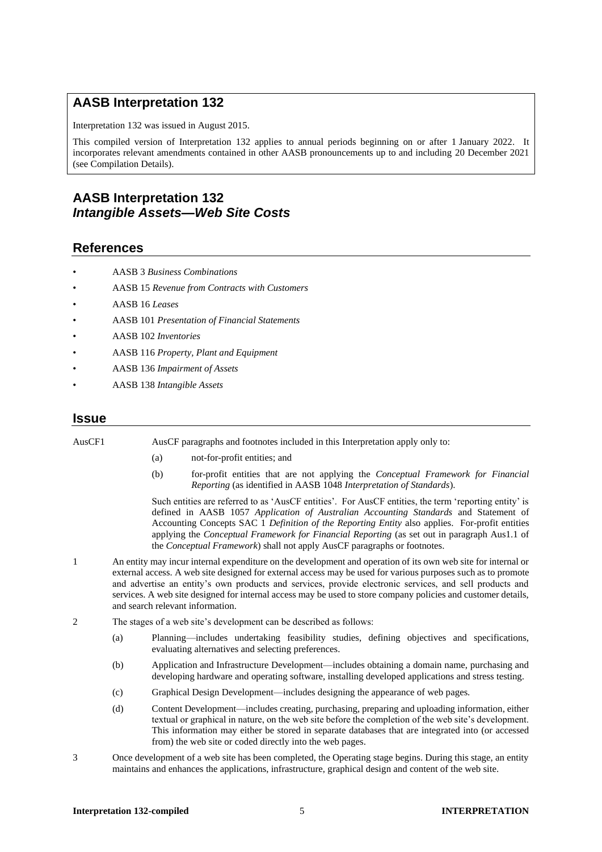# **AASB Interpretation 132**

Interpretation 132 was issued in August 2015.

This compiled version of Interpretation 132 applies to annual periods beginning on or after 1 January 2022. It incorporates relevant amendments contained in other AASB pronouncements up to and including 20 December 2021 (see Compilation Details).

# **AASB Interpretation 132** *Intangible Assets—Web Site Costs*

## **References**

- AASB 3 *Business Combinations*
- AASB 15 *Revenue from Contracts with Customers*
- AASB 16 *Leases*
- AASB 101 *Presentation of Financial Statements*
- AASB 102 *Inventories*
- AASB 116 *Property, Plant and Equipment*
- AASB 136 *Impairment of Assets*
- AASB 138 *Intangible Assets*

#### **Issue**

| AusCF1                                                                   |                                                                                                                                                                                                                       | AusCF paragraphs and footnotes included in this Interpretation apply only to: |                                                                                                   |                                                                     |   |  |                                                                                                                                                                                                                                                                                                                                                                                                                                                           |
|--------------------------------------------------------------------------|-----------------------------------------------------------------------------------------------------------------------------------------------------------------------------------------------------------------------|-------------------------------------------------------------------------------|---------------------------------------------------------------------------------------------------|---------------------------------------------------------------------|---|--|-----------------------------------------------------------------------------------------------------------------------------------------------------------------------------------------------------------------------------------------------------------------------------------------------------------------------------------------------------------------------------------------------------------------------------------------------------------|
|                                                                          |                                                                                                                                                                                                                       | (a)                                                                           | not-for-profit entities; and                                                                      |                                                                     |   |  |                                                                                                                                                                                                                                                                                                                                                                                                                                                           |
|                                                                          |                                                                                                                                                                                                                       | (b)                                                                           |                                                                                                   | Reporting (as identified in AASB 1048 Interpretation of Standards). |   |  | for-profit entities that are not applying the <i>Conceptual Framework for Financial</i>                                                                                                                                                                                                                                                                                                                                                                   |
|                                                                          |                                                                                                                                                                                                                       |                                                                               | the Conceptual Framework) shall not apply AusCF paragraphs or footnotes.                          |                                                                     |   |  | Such entities are referred to as 'AusCF entities'. For AusCF entities, the term 'reporting entity' is<br>defined in AASB 1057 Application of Australian Accounting Standards and Statement of<br>Accounting Concepts SAC 1 Definition of the Reporting Entity also applies. For-profit entities<br>applying the Conceptual Framework for Financial Reporting (as set out in paragraph Aus1.1 of                                                           |
| 1                                                                        |                                                                                                                                                                                                                       |                                                                               | and search relevant information.                                                                  |                                                                     |   |  | An entity may incur internal expenditure on the development and operation of its own web site for internal or<br>external access. A web site designed for external access may be used for various purposes such as to promote<br>and advertise an entity's own products and services, provide electronic services, and sell products and<br>services. A web site designed for internal access may be used to store company policies and customer details, |
| 2<br>The stages of a web site's development can be described as follows: |                                                                                                                                                                                                                       |                                                                               |                                                                                                   |                                                                     |   |  |                                                                                                                                                                                                                                                                                                                                                                                                                                                           |
|                                                                          | (a)                                                                                                                                                                                                                   |                                                                               | evaluating alternatives and selecting preferences.                                                |                                                                     |   |  | Planning—includes undertaking feasibility studies, defining objectives and specifications,                                                                                                                                                                                                                                                                                                                                                                |
|                                                                          | (b)                                                                                                                                                                                                                   |                                                                               | developing hardware and operating software, installing developed applications and stress testing. |                                                                     |   |  | Application and Infrastructure Development—includes obtaining a domain name, purchasing and                                                                                                                                                                                                                                                                                                                                                               |
|                                                                          | (c)                                                                                                                                                                                                                   |                                                                               | Graphical Design Development—includes designing the appearance of web pages.                      |                                                                     |   |  |                                                                                                                                                                                                                                                                                                                                                                                                                                                           |
|                                                                          | (d)                                                                                                                                                                                                                   |                                                                               | from) the web site or coded directly into the web pages.                                          |                                                                     |   |  | Content Development—includes creating, purchasing, preparing and uploading information, either<br>textual or graphical in nature, on the web site before the completion of the web site's development.<br>This information may either be stored in separate databases that are integrated into (or accessed                                                                                                                                               |
| 3                                                                        | Once development of a web site has been completed, the Operating stage begins. During this stage, an entity<br>maintains and enhances the applications, infrastructure, graphical design and content of the web site. |                                                                               |                                                                                                   |                                                                     |   |  |                                                                                                                                                                                                                                                                                                                                                                                                                                                           |
|                                                                          |                                                                                                                                                                                                                       | <b>Interpretation 132-compiled</b>                                            |                                                                                                   |                                                                     | 5 |  | <b>INTERPRETATION</b>                                                                                                                                                                                                                                                                                                                                                                                                                                     |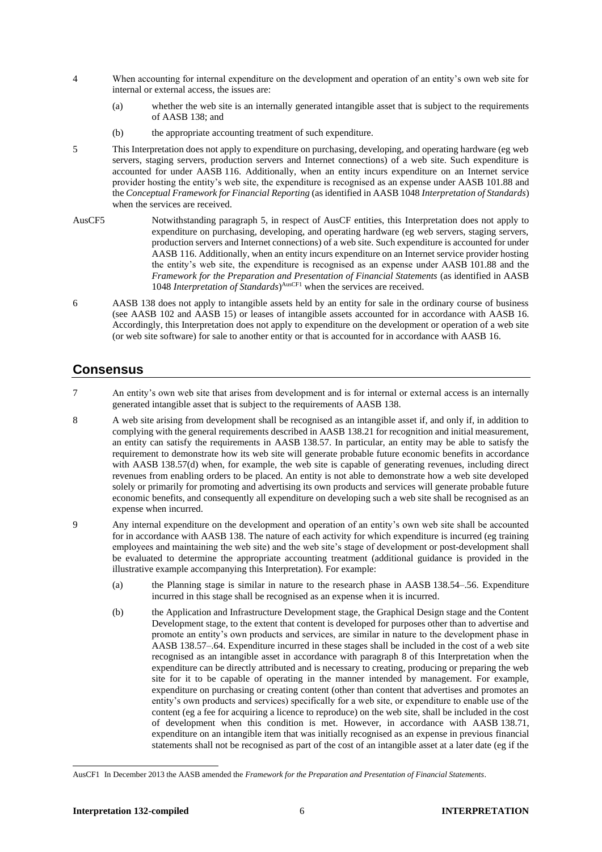- 4 When accounting for internal expenditure on the development and operation of an entity's own web site for internal or external access, the issues are:
	- (a) whether the web site is an internally generated intangible asset that is subject to the requirements of AASB 138; and
	- (b) the appropriate accounting treatment of such expenditure.
- 5 This Interpretation does not apply to expenditure on purchasing, developing, and operating hardware (eg web servers, staging servers, production servers and Internet connections) of a web site. Such expenditure is accounted for under AASB 116. Additionally, when an entity incurs expenditure on an Internet service provider hosting the entity's web site, the expenditure is recognised as an expense under AASB 101.88 and the *Conceptual Framework for Financial Reporting* (as identified in AASB 1048 *Interpretation of Standards*) when the services are received.
- AusCF5 Notwithstanding paragraph 5, in respect of AusCF entities, this Interpretation does not apply to expenditure on purchasing, developing, and operating hardware (eg web servers, staging servers, production servers and Internet connections) of a web site. Such expenditure is accounted for under AASB 116. Additionally, when an entity incurs expenditure on an Internet service provider hosting the entity's web site, the expenditure is recognised as an expense under AASB 101.88 and the *Framework for the Preparation and Presentation of Financial Statements* (as identified in AASB 1048 *Interpretation of Standards*)<sup>AusCF1</sup> when the services are received.
- 6 AASB 138 does not apply to intangible assets held by an entity for sale in the ordinary course of business (see AASB 102 and AASB 15) or leases of intangible assets accounted for in accordance with AASB 16. Accordingly, this Interpretation does not apply to expenditure on the development or operation of a web site (or web site software) for sale to another entity or that is accounted for in accordance with AASB 16.

#### **Consensus**

- 7 An entity's own web site that arises from development and is for internal or external access is an internally generated intangible asset that is subject to the requirements of AASB 138.
- 8 A web site arising from development shall be recognised as an intangible asset if, and only if, in addition to complying with the general requirements described in AASB 138.21 for recognition and initial measurement, an entity can satisfy the requirements in AASB 138.57. In particular, an entity may be able to satisfy the requirement to demonstrate how its web site will generate probable future economic benefits in accordance with AASB 138.57(d) when, for example, the web site is capable of generating revenues, including direct revenues from enabling orders to be placed. An entity is not able to demonstrate how a web site developed solely or primarily for promoting and advertising its own products and services will generate probable future economic benefits, and consequently all expenditure on developing such a web site shall be recognised as an expense when incurred.
- 9 Any internal expenditure on the development and operation of an entity's own web site shall be accounted for in accordance with AASB 138. The nature of each activity for which expenditure is incurred (eg training employees and maintaining the web site) and the web site's stage of development or post-development shall be evaluated to determine the appropriate accounting treatment (additional guidance is provided in the illustrative example accompanying this Interpretation). For example:
	- (a) the Planning stage is similar in nature to the research phase in AASB 138.54–.56. Expenditure incurred in this stage shall be recognised as an expense when it is incurred.
	- (b) the Application and Infrastructure Development stage, the Graphical Design stage and the Content Development stage, to the extent that content is developed for purposes other than to advertise and promote an entity's own products and services, are similar in nature to the development phase in AASB 138.57–.64. Expenditure incurred in these stages shall be included in the cost of a web site recognised as an intangible asset in accordance with paragraph 8 of this Interpretation when the expenditure can be directly attributed and is necessary to creating, producing or preparing the web site for it to be capable of operating in the manner intended by management. For example, expenditure on purchasing or creating content (other than content that advertises and promotes an entity's own products and services) specifically for a web site, or expenditure to enable use of the content (eg a fee for acquiring a licence to reproduce) on the web site, shall be included in the cost of development when this condition is met. However, in accordance with AASB 138.71, expenditure on an intangible item that was initially recognised as an expense in previous financial statements shall not be recognised as part of the cost of an intangible asset at a later date (eg if the

AusCF1 In December 2013 the AASB amended the *Framework for the Preparation and Presentation of Financial Statements*.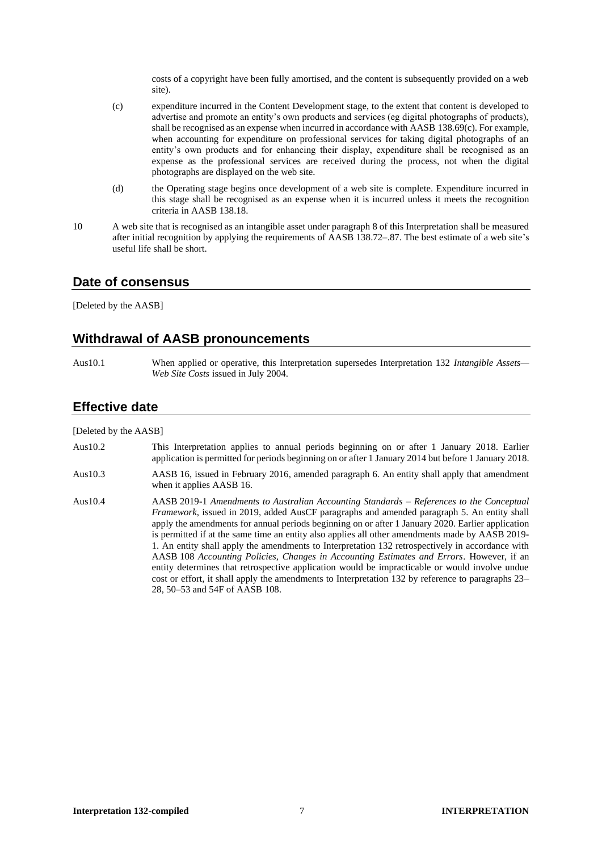costs of a copyright have been fully amortised, and the content is subsequently provided on a web site).

- (c) expenditure incurred in the Content Development stage, to the extent that content is developed to advertise and promote an entity's own products and services (eg digital photographs of products), shall be recognised as an expense when incurred in accordance with AASB 138.69(c). For example, when accounting for expenditure on professional services for taking digital photographs of an entity's own products and for enhancing their display, expenditure shall be recognised as an expense as the professional services are received during the process, not when the digital photographs are displayed on the web site.
- (d) the Operating stage begins once development of a web site is complete. Expenditure incurred in this stage shall be recognised as an expense when it is incurred unless it meets the recognition criteria in AASB 138.18.
- 10 A web site that is recognised as an intangible asset under paragraph 8 of this Interpretation shall be measured after initial recognition by applying the requirements of AASB 138.72–.87. The best estimate of a web site's useful life shall be short.

#### **Date of consensus**

[Deleted by the AASB]

#### **Withdrawal of AASB pronouncements**

Aus10.1 When applied or operative, this Interpretation supersedes Interpretation 132 *Intangible Assets— Web Site Costs* issued in July 2004.

#### **Effective date**

[Deleted by the AASB]

- Aus10.2 This Interpretation applies to annual periods beginning on or after 1 January 2018. Earlier application is permitted for periods beginning on or after 1 January 2014 but before 1 January 2018.
- Aus10.3 AASB 16, issued in February 2016, amended paragraph 6. An entity shall apply that amendment when it applies AASB 16.
- Aus10.4 AASB 2019-1 *Amendments to Australian Accounting Standards – References to the Conceptual Framework*, issued in 2019, added AusCF paragraphs and amended paragraph 5. An entity shall apply the amendments for annual periods beginning on or after 1 January 2020. Earlier application is permitted if at the same time an entity also applies all other amendments made by AASB 2019- 1. An entity shall apply the amendments to Interpretation 132 retrospectively in accordance with AASB 108 *Accounting Policies, Changes in Accounting Estimates and Errors*. However, if an entity determines that retrospective application would be impracticable or would involve undue cost or effort, it shall apply the amendments to Interpretation 132 by reference to paragraphs 23– 28, 50–53 and 54F of AASB 108.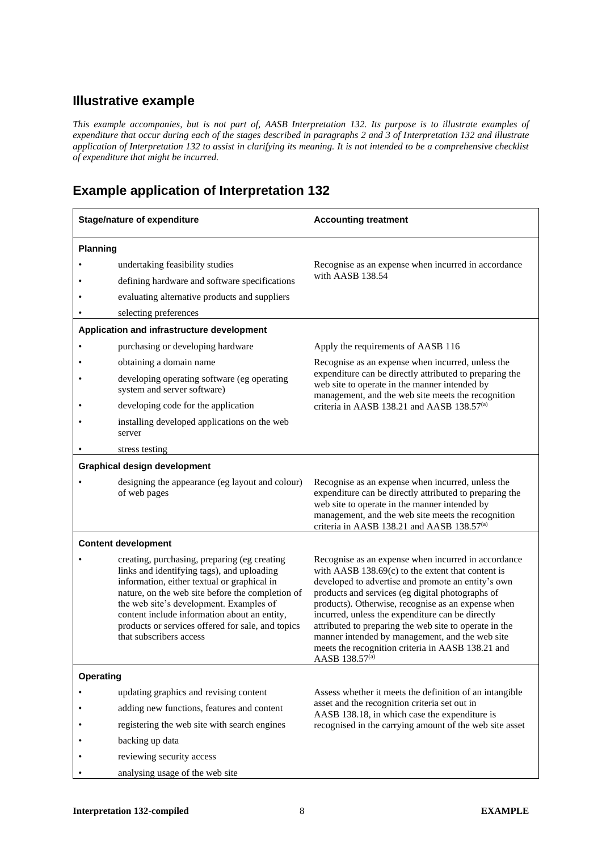# **Illustrative example**

*This example accompanies, but is not part of, AASB Interpretation 132. Its purpose is to illustrate examples of expenditure that occur during each of the stages described in paragraphs 2 and 3 of Interpretation 132 and illustrate application of Interpretation 132 to assist in clarifying its meaning. It is not intended to be a comprehensive checklist of expenditure that might be incurred.*

# **Example application of Interpretation 132**

| <b>Stage/nature of expenditure</b> |                                                                                                                                                                                                                                                                                                                                                                          | <b>Accounting treatment</b>                                                                                                                                                                                                                                                                                                                                                                                                                                                                                                    |  |  |  |
|------------------------------------|--------------------------------------------------------------------------------------------------------------------------------------------------------------------------------------------------------------------------------------------------------------------------------------------------------------------------------------------------------------------------|--------------------------------------------------------------------------------------------------------------------------------------------------------------------------------------------------------------------------------------------------------------------------------------------------------------------------------------------------------------------------------------------------------------------------------------------------------------------------------------------------------------------------------|--|--|--|
|                                    | <b>Planning</b>                                                                                                                                                                                                                                                                                                                                                          |                                                                                                                                                                                                                                                                                                                                                                                                                                                                                                                                |  |  |  |
|                                    | undertaking feasibility studies                                                                                                                                                                                                                                                                                                                                          | Recognise as an expense when incurred in accordance                                                                                                                                                                                                                                                                                                                                                                                                                                                                            |  |  |  |
|                                    | defining hardware and software specifications                                                                                                                                                                                                                                                                                                                            | with AASB 138.54                                                                                                                                                                                                                                                                                                                                                                                                                                                                                                               |  |  |  |
|                                    | evaluating alternative products and suppliers                                                                                                                                                                                                                                                                                                                            |                                                                                                                                                                                                                                                                                                                                                                                                                                                                                                                                |  |  |  |
|                                    | selecting preferences                                                                                                                                                                                                                                                                                                                                                    |                                                                                                                                                                                                                                                                                                                                                                                                                                                                                                                                |  |  |  |
|                                    | Application and infrastructure development                                                                                                                                                                                                                                                                                                                               |                                                                                                                                                                                                                                                                                                                                                                                                                                                                                                                                |  |  |  |
|                                    | purchasing or developing hardware                                                                                                                                                                                                                                                                                                                                        | Apply the requirements of AASB 116                                                                                                                                                                                                                                                                                                                                                                                                                                                                                             |  |  |  |
|                                    | obtaining a domain name                                                                                                                                                                                                                                                                                                                                                  | Recognise as an expense when incurred, unless the                                                                                                                                                                                                                                                                                                                                                                                                                                                                              |  |  |  |
|                                    | developing operating software (eg operating<br>system and server software)                                                                                                                                                                                                                                                                                               | expenditure can be directly attributed to preparing the<br>web site to operate in the manner intended by<br>management, and the web site meets the recognition                                                                                                                                                                                                                                                                                                                                                                 |  |  |  |
|                                    | developing code for the application                                                                                                                                                                                                                                                                                                                                      | criteria in AASB 138.21 and AASB 138.57 <sup>(a)</sup>                                                                                                                                                                                                                                                                                                                                                                                                                                                                         |  |  |  |
|                                    | installing developed applications on the web<br>server                                                                                                                                                                                                                                                                                                                   |                                                                                                                                                                                                                                                                                                                                                                                                                                                                                                                                |  |  |  |
|                                    | stress testing                                                                                                                                                                                                                                                                                                                                                           |                                                                                                                                                                                                                                                                                                                                                                                                                                                                                                                                |  |  |  |
|                                    | <b>Graphical design development</b>                                                                                                                                                                                                                                                                                                                                      |                                                                                                                                                                                                                                                                                                                                                                                                                                                                                                                                |  |  |  |
|                                    | designing the appearance (eg layout and colour)<br>of web pages                                                                                                                                                                                                                                                                                                          | Recognise as an expense when incurred, unless the<br>expenditure can be directly attributed to preparing the<br>web site to operate in the manner intended by<br>management, and the web site meets the recognition<br>criteria in AASB 138.21 and AASB 138.57 <sup>(a)</sup>                                                                                                                                                                                                                                                  |  |  |  |
|                                    | <b>Content development</b>                                                                                                                                                                                                                                                                                                                                               |                                                                                                                                                                                                                                                                                                                                                                                                                                                                                                                                |  |  |  |
|                                    | creating, purchasing, preparing (eg creating<br>links and identifying tags), and uploading<br>information, either textual or graphical in<br>nature, on the web site before the completion of<br>the web site's development. Examples of<br>content include information about an entity,<br>products or services offered for sale, and topics<br>that subscribers access | Recognise as an expense when incurred in accordance<br>with AASB $138.69(c)$ to the extent that content is<br>developed to advertise and promote an entity's own<br>products and services (eg digital photographs of<br>products). Otherwise, recognise as an expense when<br>incurred, unless the expenditure can be directly<br>attributed to preparing the web site to operate in the<br>manner intended by management, and the web site<br>meets the recognition criteria in AASB 138.21 and<br>AASB 138.57 <sup>(a)</sup> |  |  |  |
| Operating                          |                                                                                                                                                                                                                                                                                                                                                                          |                                                                                                                                                                                                                                                                                                                                                                                                                                                                                                                                |  |  |  |
|                                    | updating graphics and revising content                                                                                                                                                                                                                                                                                                                                   | Assess whether it meets the definition of an intangible                                                                                                                                                                                                                                                                                                                                                                                                                                                                        |  |  |  |
|                                    | adding new functions, features and content                                                                                                                                                                                                                                                                                                                               | asset and the recognition criteria set out in<br>AASB 138.18, in which case the expenditure is                                                                                                                                                                                                                                                                                                                                                                                                                                 |  |  |  |
|                                    | registering the web site with search engines                                                                                                                                                                                                                                                                                                                             | recognised in the carrying amount of the web site asset                                                                                                                                                                                                                                                                                                                                                                                                                                                                        |  |  |  |
|                                    | backing up data                                                                                                                                                                                                                                                                                                                                                          |                                                                                                                                                                                                                                                                                                                                                                                                                                                                                                                                |  |  |  |
|                                    | reviewing security access                                                                                                                                                                                                                                                                                                                                                |                                                                                                                                                                                                                                                                                                                                                                                                                                                                                                                                |  |  |  |
|                                    | analysing usage of the web site                                                                                                                                                                                                                                                                                                                                          |                                                                                                                                                                                                                                                                                                                                                                                                                                                                                                                                |  |  |  |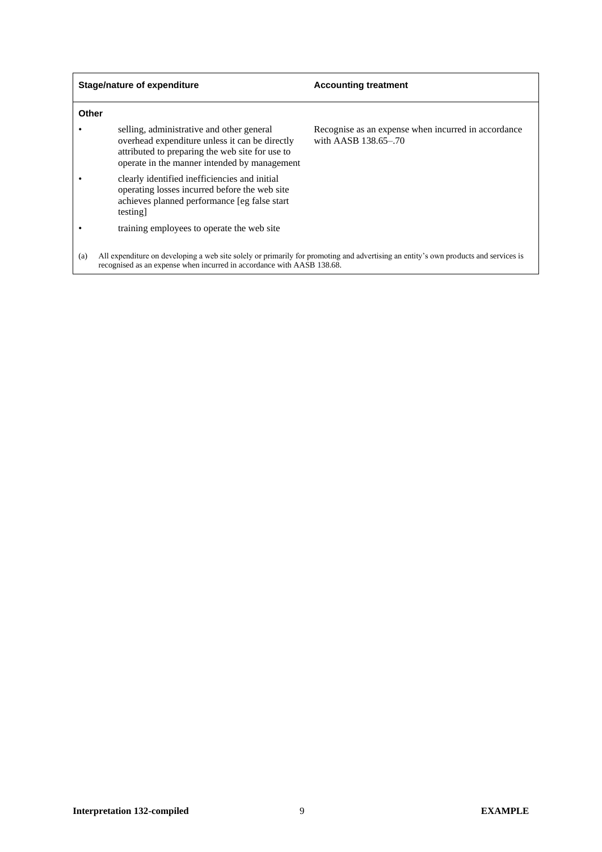| <b>Stage/nature of expenditure</b> |                                                                                                                                                                                                | <b>Accounting treatment</b>                                                 |  |  |
|------------------------------------|------------------------------------------------------------------------------------------------------------------------------------------------------------------------------------------------|-----------------------------------------------------------------------------|--|--|
| Other                              |                                                                                                                                                                                                |                                                                             |  |  |
|                                    | selling, administrative and other general<br>overhead expenditure unless it can be directly<br>attributed to preparing the web site for use to<br>operate in the manner intended by management | Recognise as an expense when incurred in accordance<br>with AASB 138.65-.70 |  |  |
|                                    | clearly identified inefficiencies and initial<br>operating losses incurred before the web site<br>achieves planned performance [eg false start]<br>testing]                                    |                                                                             |  |  |
|                                    | training employees to operate the web site                                                                                                                                                     |                                                                             |  |  |
| (a)                                | All expenditure on developing a web site solely or primarily for promoting and advertising an entity's own products and services is                                                            |                                                                             |  |  |

recognised as an expense when incurred in accordance with AASB 138.68.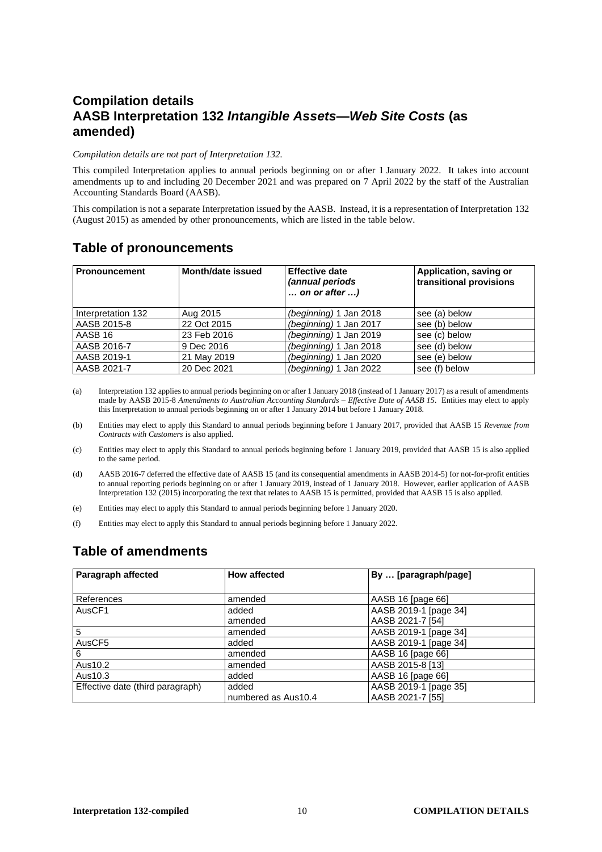# **Compilation details AASB Interpretation 132** *Intangible Assets—Web Site Costs* **(as amended)**

#### *Compilation details are not part of Interpretation 132.*

This compiled Interpretation applies to annual periods beginning on or after 1 January 2022. It takes into account amendments up to and including 20 December 2021 and was prepared on 7 April 2022 by the staff of the Australian Accounting Standards Board (AASB).

This compilation is not a separate Interpretation issued by the AASB. Instead, it is a representation of Interpretation 132 (August 2015) as amended by other pronouncements, which are listed in the table below.

## **Table of pronouncements**

| <b>Pronouncement</b> | Month/date issued | <b>Effective date</b><br>(annual periods<br>on or after $\dots$ ) | Application, saving or<br>transitional provisions |
|----------------------|-------------------|-------------------------------------------------------------------|---------------------------------------------------|
| Interpretation 132   | Aug 2015          | (beginning) 1 Jan 2018                                            | see (a) below                                     |
| AASB 2015-8          | 22 Oct 2015       | (beginning) 1 Jan 2017                                            | see (b) below                                     |
| AASB 16              | 23 Feb 2016       | (beginning) 1 Jan 2019                                            | see (c) below                                     |
| AASB 2016-7          | 9 Dec 2016        | (beginning) 1 Jan 2018                                            | see (d) below                                     |
| AASB 2019-1          | 21 May 2019       | (beginning) 1 Jan 2020                                            | see (e) below                                     |
| AASB 2021-7          | 20 Dec 2021       | (beginning) 1 Jan 2022                                            | see (f) below                                     |

(a) Interpretation 132 applies to annual periods beginning on or after 1 January 2018 (instead of 1 January 2017) as a result of amendments made by AASB 2015-8 *Amendments to Australian Accounting Standards – Effective Date of AASB 15*. Entities may elect to apply this Interpretation to annual periods beginning on or after 1 January 2014 but before 1 January 2018.

(b) Entities may elect to apply this Standard to annual periods beginning before 1 January 2017, provided that AASB 15 *Revenue from Contracts with Customers* is also applied.

- (c) Entities may elect to apply this Standard to annual periods beginning before 1 January 2019, provided that AASB 15 is also applied to the same period.
- (d) AASB 2016-7 deferred the effective date of AASB 15 (and its consequential amendments in AASB 2014-5) for not-for-profit entities to annual reporting periods beginning on or after 1 January 2019, instead of 1 January 2018. However, earlier application of AASB Interpretation 132 (2015) incorporating the text that relates to AASB 15 is permitted, provided that AASB 15 is also applied.
- (e) Entities may elect to apply this Standard to annual periods beginning before 1 January 2020.
- (f) Entities may elect to apply this Standard to annual periods beginning before 1 January 2022.

#### **Table of amendments**

| Paragraph affected               | <b>How affected</b> | By  [paragraph/page]  |
|----------------------------------|---------------------|-----------------------|
|                                  |                     |                       |
| References                       | amended             | AASB 16 [page 66]     |
| AusCF1                           | added               | AASB 2019-1 [page 34] |
|                                  | amended             | AASB 2021-7 [54]      |
| 5                                | amended             | AASB 2019-1 [page 34] |
| AusCF5                           | added               | AASB 2019-1 [page 34] |
| 6                                | amended             | AASB 16 [page 66]     |
| Aus10.2                          | amended             | AASB 2015-8 [13]      |
| Aus10.3                          | added               | AASB 16 [page 66]     |
| Effective date (third paragraph) | added               | AASB 2019-1 [page 35] |
|                                  | numbered as Aus10.4 | AASB 2021-7 [55]      |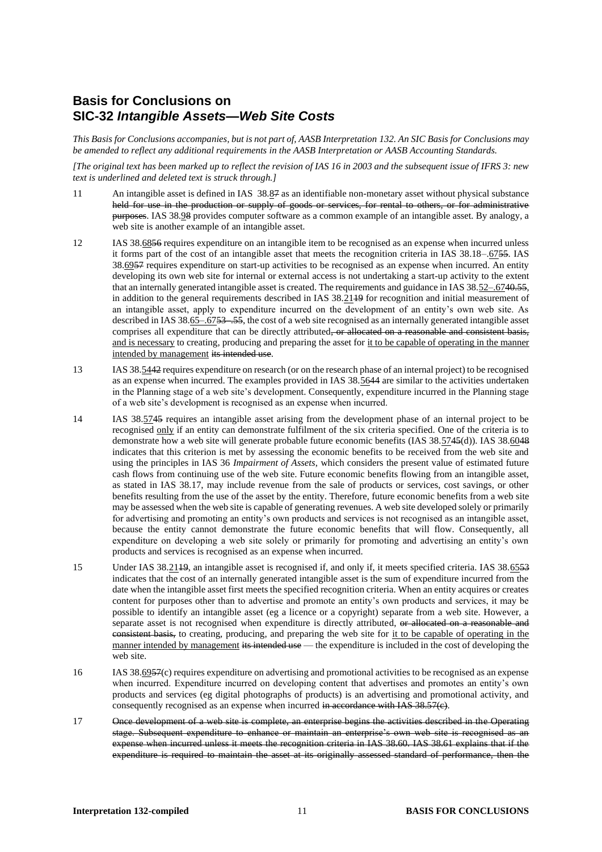## **Basis for Conclusions on SIC-32** *Intangible Assets—Web Site Costs*

*This Basis for Conclusions accompanies, but is not part of, AASB Interpretation 132. An SIC Basis for Conclusions may be amended to reflect any additional requirements in the AASB Interpretation or AASB Accounting Standards.*

*[The original text has been marked up to reflect the revision of IAS 16 in 2003 and the subsequent issue of IFRS 3: new text is underlined and deleted text is struck through.]*

- 11 An intangible asset is defined in IAS 38.87 as an identifiable non-monetary asset without physical substance held for use in the production or supply of goods or services, for rental to others, or for administrative purposes. IAS 38.98 provides computer software as a common example of an intangible asset. By analogy, a web site is another example of an intangible asset.
- 12 IAS 38.6856 requires expenditure on an intangible item to be recognised as an expense when incurred unless it forms part of the cost of an intangible asset that meets the recognition criteria in IAS 38.18–.6755. IAS 38.6957 requires expenditure on start-up activities to be recognised as an expense when incurred. An entity developing its own web site for internal or external access is not undertaking a start-up activity to the extent that an internally generated intangible asset is created. The requirements and guidance in IAS 38.52–.6740.55, in addition to the general requirements described in IAS 38.2119 for recognition and initial measurement of an intangible asset, apply to expenditure incurred on the development of an entity's own web site. As described in IAS 38.65–.67<del>53–.55</del>, the cost of a web site recognised as an internally generated intangible asset comprises all expenditure that can be directly attributed, or allocated on a reasonable and consistent basis, and is necessary to creating, producing and preparing the asset for it to be capable of operating in the manner intended by management its intended use.
- 13 IAS 38.5442 requires expenditure on research (or on the research phase of an internal project) to be recognised as an expense when incurred. The examples provided in IAS 38.5644 are similar to the activities undertaken in the Planning stage of a web site's development. Consequently, expenditure incurred in the Planning stage of a web site's development is recognised as an expense when incurred.
- 14 IAS 38.5745 requires an intangible asset arising from the development phase of an internal project to be recognised only if an entity can demonstrate fulfilment of the six criteria specified. One of the criteria is to demonstrate how a web site will generate probable future economic benefits (IAS 38.5745(d)). IAS 38.6048 indicates that this criterion is met by assessing the economic benefits to be received from the web site and using the principles in IAS 36 *Impairment of Assets*, which considers the present value of estimated future cash flows from continuing use of the web site. Future economic benefits flowing from an intangible asset, as stated in IAS 38.17, may include revenue from the sale of products or services, cost savings, or other benefits resulting from the use of the asset by the entity. Therefore, future economic benefits from a web site may be assessed when the web site is capable of generating revenues. A web site developed solely or primarily for advertising and promoting an entity's own products and services is not recognised as an intangible asset, because the entity cannot demonstrate the future economic benefits that will flow. Consequently, all expenditure on developing a web site solely or primarily for promoting and advertising an entity's own products and services is recognised as an expense when incurred.
- 15 Under IAS 38.2149, an intangible asset is recognised if, and only if, it meets specified criteria. IAS 38.6553 indicates that the cost of an internally generated intangible asset is the sum of expenditure incurred from the date when the intangible asset first meets the specified recognition criteria. When an entity acquires or creates content for purposes other than to advertise and promote an entity's own products and services, it may be possible to identify an intangible asset (eg a licence or a copyright) separate from a web site. However, a separate asset is not recognised when expenditure is directly attributed, or allocated on a reasonable and consistent basis, to creating, producing, and preparing the web site for it to be capable of operating in the manner intended by management its intended use — the expenditure is included in the cost of developing the web site.
- 16 IAS 38.6957(c) requires expenditure on advertising and promotional activities to be recognised as an expense when incurred. Expenditure incurred on developing content that advertises and promotes an entity's own products and services (eg digital photographs of products) is an advertising and promotional activity, and consequently recognised as an expense when incurred in accordance with IAS 38.57(c).
- 17 Once development of a web site is complete, an enterprise begins the activities described in the Operating stage. Subsequent expenditure to enhance or maintain an enterprise's own web site is recognised as an expense when incurred unless it meets the recognition criteria in IAS 38.60. IAS 38.61 explains that if the expenditure is required to maintain the asset at its originally assessed standard of performance, then the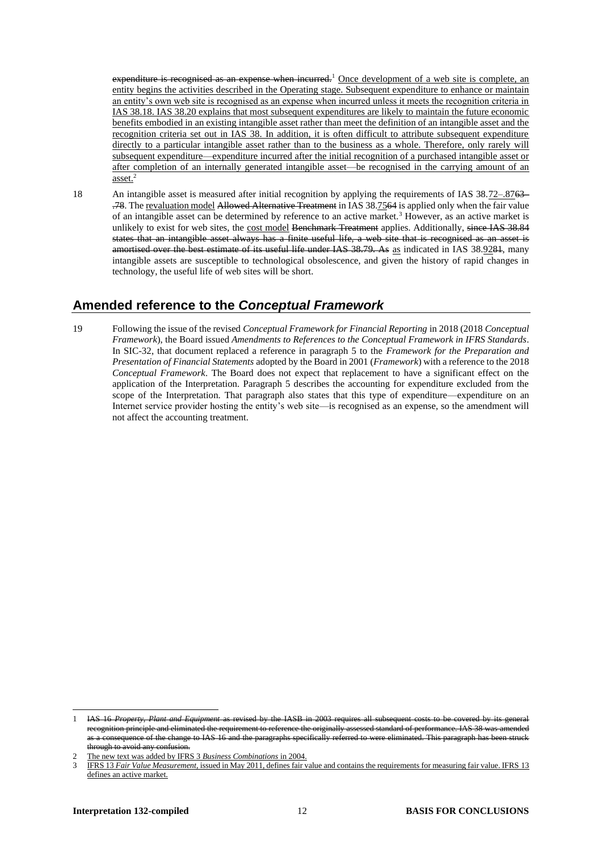expenditure is recognised as an expense when incurred.<sup>1</sup> Once development of a web site is complete, an entity begins the activities described in the Operating stage. Subsequent expenditure to enhance or maintain an entity's own web site is recognised as an expense when incurred unless it meets the recognition criteria in IAS 38.18. IAS 38.20 explains that most subsequent expenditures are likely to maintain the future economic benefits embodied in an existing intangible asset rather than meet the definition of an intangible asset and the recognition criteria set out in IAS 38. In addition, it is often difficult to attribute subsequent expenditure directly to a particular intangible asset rather than to the business as a whole. Therefore, only rarely will subsequent expenditure—expenditure incurred after the initial recognition of a purchased intangible asset or after completion of an internally generated intangible asset—be recognised in the carrying amount of an asset.<sup>2</sup>

18 An intangible asset is measured after initial recognition by applying the requirements of IAS 38.72–.8763– .78. The revaluation model Allowed Alternative Treatment in IAS 38.7564 is applied only when the fair value of an intangible asset can be determined by reference to an active market.<sup>3</sup> However, as an active market is unlikely to exist for web sites, the cost model Benchmark Treatment applies. Additionally, since IAS 38.84 states that an intangible asset always has a finite useful life, a web site that is recognised as an asset is amortised over the best estimate of its useful life under IAS 38.79. As as indicated in IAS 38.9284, many intangible assets are susceptible to technological obsolescence, and given the history of rapid changes in technology, the useful life of web sites will be short.

# **Amended reference to the** *Conceptual Framework*

19 Following the issue of the revised *Conceptual Framework for Financial Reporting* in 2018 (2018 *Conceptual Framework*), the Board issued *Amendments to References to the Conceptual Framework in IFRS Standards*. In SIC-32, that document replaced a reference in paragraph 5 to the *Framework for the Preparation and Presentation of Financial Statements* adopted by the Board in 2001 (*Framework*) with a reference to the 2018 *Conceptual Framework*. The Board does not expect that replacement to have a significant effect on the application of the Interpretation. Paragraph 5 describes the accounting for expenditure excluded from the scope of the Interpretation. That paragraph also states that this type of expenditure—expenditure on an Internet service provider hosting the entity's web site—is recognised as an expense, so the amendment will not affect the accounting treatment.

<sup>1</sup> IAS 16 *Property, Plant and Equipment* as revised by the IASB in 2003 requires all subsequent recognition principle and eliminated the requirement to reference the originally assessed standard of performance. IAS 38 was consequence of the change to IAS 16 and the paragraphs specifically referred to were eliminated. This paragraph has been struck through to avoid any confusion.

<sup>2</sup> The new text was added by IFRS 3 *Business Combinations* in 2004.

<sup>3</sup> IFRS 13 *Fair Value Measurement*, issued in May 2011, defines fair value and contains the requirements for measuring fair value. IFRS 13 defines an active market.